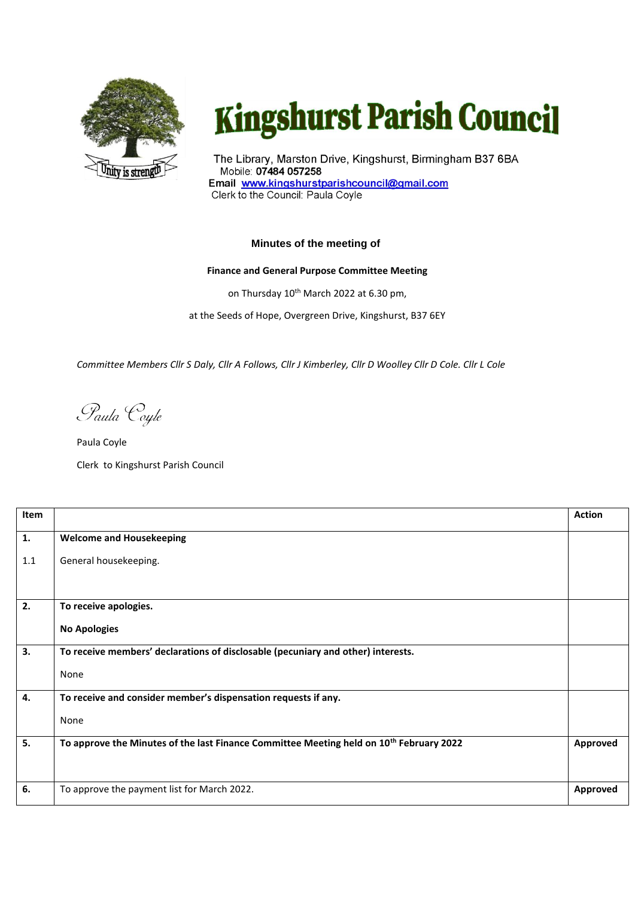

## **Kingshurst Parish Council**

The Library, Marston Drive, Kingshurst, Birmingham B37 6BA Mobile: 07484 057258 Email www.kingshurstparishcouncil@gmail.com Clerk to the Council: Paula Coyle

## **Minutes of the meeting of**

## **Finance and General Purpose Committee Meeting**

on Thursday 10<sup>th</sup> March 2022 at 6.30 pm,

at the Seeds of Hope, Overgreen Drive, Kingshurst, B37 6EY

*Committee Members Cllr S Daly, Cllr A Follows, Cllr J Kimberley, Cllr D Woolley Cllr D Cole. Cllr L Cole*

Paula Coyle

Paula Coyle Clerk to Kingshurst Parish Council

| Item |                                                                                                     | <b>Action</b>   |
|------|-----------------------------------------------------------------------------------------------------|-----------------|
| 1.   | <b>Welcome and Housekeeping</b>                                                                     |                 |
| 1.1  | General housekeeping.                                                                               |                 |
|      |                                                                                                     |                 |
| 2.   | To receive apologies.                                                                               |                 |
|      | <b>No Apologies</b>                                                                                 |                 |
| 3.   | To receive members' declarations of disclosable (pecuniary and other) interests.                    |                 |
|      | None                                                                                                |                 |
| 4.   | To receive and consider member's dispensation requests if any.                                      |                 |
|      | None                                                                                                |                 |
| 5.   | To approve the Minutes of the last Finance Committee Meeting held on 10 <sup>th</sup> February 2022 | Approved        |
|      |                                                                                                     |                 |
| 6.   | To approve the payment list for March 2022.                                                         | <b>Approved</b> |